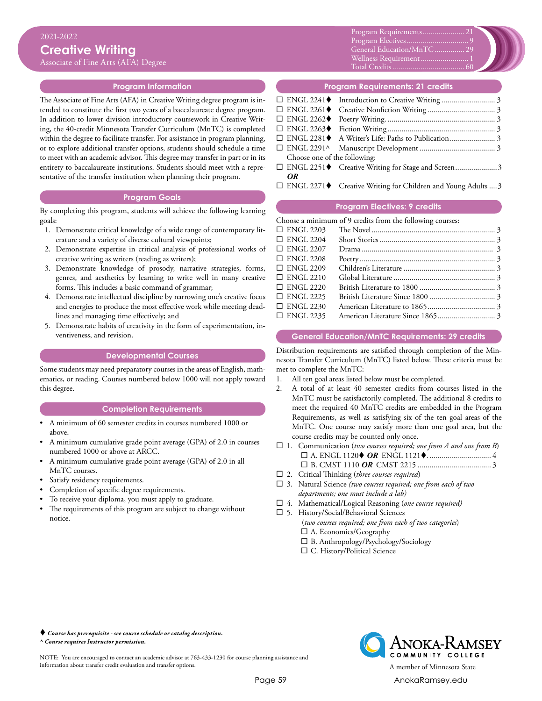Associate of Fine Arts (AFA) Degree

## **Program Information**

The Associate of Fine Arts (AFA) in Creative Writing degree program is intended to constitute the first two years of a baccalaureate degree program. In addition to lower division introductory coursework in Creative Writing, the 40-credit Minnesota Transfer Curriculum (MnTC) is completed within the degree to facilitate transfer. For assistance in program planning, or to explore additional transfer options, students should schedule a time to meet with an academic advisor. This degree may transfer in part or in its entirety to baccalaureate institutions. Students should meet with a representative of the transfer institution when planning their program.

#### **Program Goals**

By completing this program, students will achieve the following learning goals:

- 1. Demonstrate critical knowledge of a wide range of contemporary literature and a variety of diverse cultural viewpoints;
- 2. Demonstrate expertise in critical analysis of professional works of creative writing as writers (reading as writers);
- 3. Demonstrate knowledge of prosody, narrative strategies, forms, genres, and aesthetics by learning to write well in many creative forms. This includes a basic command of grammar;
- 4. Demonstrate intellectual discipline by narrowing one's creative focus and energies to produce the most effective work while meeting deadlines and managing time effectively; and
- 5. Demonstrate habits of creativity in the form of experimentation, inventiveness, and revision.

## **Developmental Courses**

Some students may need preparatory courses in the areas of English, mathematics, or reading. Courses numbered below 1000 will not apply toward this degree.

## **Completion Requirements**

- A minimum of 60 semester credits in courses numbered 1000 or above.
- A minimum cumulative grade point average (GPA) of 2.0 in courses numbered 1000 or above at ARCC.
- A minimum cumulative grade point average (GPA) of 2.0 in all MnTC courses.
- Satisfy residency requirements.
- Completion of specific degree requirements.
- To receive your diploma, you must apply to graduate.
- The requirements of this program are subject to change without notice.

Xxxxx............................................0 Program Requirements...................... 21 Xxxxx............................................0 General Education/MnTC................ 29 Schem Baadhoff Mill Summun Total Credits.................................0 Wellness Requirement......................... 1 Program Electives... Total Credits..................................... 60



## **Program Requirements: 21 credits**

| Choose one of the following: |    |  |  |
|------------------------------|----|--|--|
|                              |    |  |  |
|                              | OR |  |  |
|                              |    |  |  |

 $\Box$  ENGL 2271 $\blacklozenge$  Creative Writing for Children and Young Adults .... 3

## **Program Electives: 9 credits**

Choose a minimum of 9 credits from the following courses:

| $\Box$ ENGL 2203 |  |
|------------------|--|
| $\Box$ ENGL 2204 |  |
| $\Box$ ENGL 2207 |  |
| $\Box$ ENGL 2208 |  |
| $\Box$ ENGL 2209 |  |
| $\Box$ ENGL 2210 |  |
| $\Box$ ENGL 2220 |  |
| $\Box$ ENGL 2225 |  |
| $\Box$ ENGL 2230 |  |
| $\Box$ ENGL 2235 |  |
|                  |  |

### **General Education/MnTC Requirements: 29 credits**

Distribution requirements are satisfied through completion of the Minnesota Transfer Curriculum (MnTC) listed below. These criteria must be met to complete the MnTC:

- 1. All ten goal areas listed below must be completed.<br>2. A total of at least 40 semester credits from countle
- 2. A total of at least 40 semester credits from courses listed in the MnTC must be satisfactorily completed. The additional 8 credits to meet the required 40 MnTC credits are embedded in the Program Requirements, as well as satisfying six of the ten goal areas of the MnTC. One course may satisfy more than one goal area, but the course credits may be counted only once.
- $\Box$  1. Communication (*two courses required; one from A and one from B*) ¨ A. ENGL 1120t *OR* ENGL 1121t................................. 4 ¨ B. CMST 1110 *OR* CMST 2215...................................... 3
- □ 2. Critical Thinking (*three courses required*)
- □ 3. Natural Science (two courses required; one from each of two *departments; one must include a lab)*
- □ 4. Mathematical/Logical Reasoning (one course required)
- $\square$  5. History/Social/Behavioral Sciences
	- (*two courses required; one from each of two categories*)  $\square$  A. Economics/Geography
	- $\square$  B. Anthropology/Psychology/Sociology
	- $\square$  C. History/Political Science

 *Course has prerequisite - see course schedule or catalog description. ^ Course requires Instructor permission.*

NOTE: You are encouraged to contact an academic advisor at 763-433-1230 for course planning assistance and information about transfer credit evaluation and transfer options. A member of Minnesota State



Page 59 [AnokaRamsey.e](http://www.anokaramsey.edu/)du